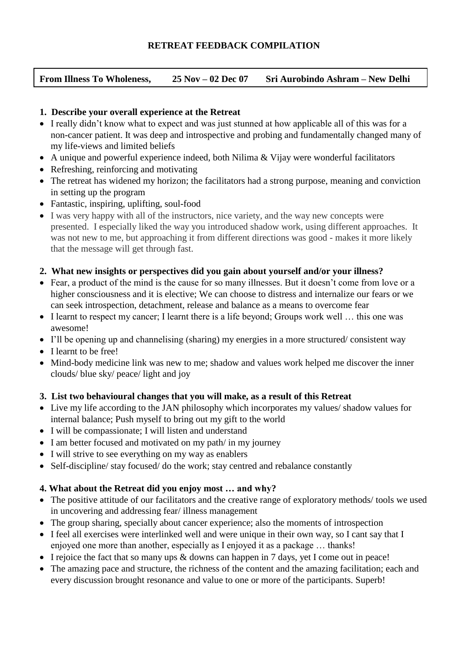## **RETREAT FEEDBACK COMPILATION**

|  | <b>From Illness To Wholeness,</b> | $25$ Nov $-02$ Dec 07 | Sri Aurobindo Ashram – New Delhi |
|--|-----------------------------------|-----------------------|----------------------------------|
|--|-----------------------------------|-----------------------|----------------------------------|

#### **1. Describe your overall experience at the Retreat**

- I really didn't know what to expect and was just stunned at how applicable all of this was for a non-cancer patient. It was deep and introspective and probing and fundamentally changed many of my life-views and limited beliefs
- A unique and powerful experience indeed, both Nilima & Vijay were wonderful facilitators
- Refreshing, reinforcing and motivating
- The retreat has widened my horizon; the facilitators had a strong purpose, meaning and conviction in setting up the program
- Fantastic, inspiring, uplifting, soul-food
- I was very happy with all of the instructors, nice variety, and the way new concepts were presented. I especially liked the way you introduced shadow work, using different approaches. It was not new to me, but approaching it from different directions was good - makes it more likely that the message will get through fast.

### **2. What new insights or perspectives did you gain about yourself and/or your illness?**

- Fear, a product of the mind is the cause for so many illnesses. But it doesn't come from love or a higher consciousness and it is elective; We can choose to distress and internalize our fears or we can seek introspection, detachment, release and balance as a means to overcome fear
- I learnt to respect my cancer; I learnt there is a life beyond; Groups work well ... this one was awesome!
- I'll be opening up and channelising (sharing) my energies in a more structured/ consistent way
- I learnt to be free!
- Mind-body medicine link was new to me; shadow and values work helped me discover the inner clouds/ blue sky/ peace/ light and joy

### **3. List two behavioural changes that you will make, as a result of this Retreat**

- Live my life according to the JAN philosophy which incorporates my values/ shadow values for internal balance; Push myself to bring out my gift to the world
- I will be compassionate; I will listen and understand
- I am better focused and motivated on my path/ in my journey
- I will strive to see everything on my way as enablers
- Self-discipline/ stay focused/ do the work; stay centred and rebalance constantly

### **4. What about the Retreat did you enjoy most … and why?**

- The positive attitude of our facilitators and the creative range of exploratory methods/ tools we used in uncovering and addressing fear/ illness management
- The group sharing, specially about cancer experience; also the moments of introspection
- I feel all exercises were interlinked well and were unique in their own way, so I cant say that I enjoyed one more than another, especially as I enjoyed it as a package … thanks!
- I rejoice the fact that so many ups  $&$  downs can happen in 7 days, yet I come out in peace!
- The amazing pace and structure, the richness of the content and the amazing facilitation; each and every discussion brought resonance and value to one or more of the participants. Superb!